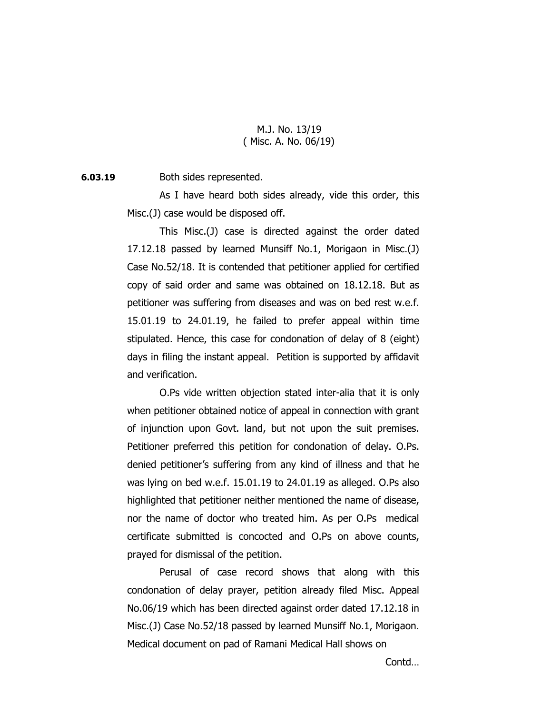## M.J. No. 13/19 ( Misc. A. No. 06/19)

**6.03.19** Both sides represented.

As I have heard both sides already, vide this order, this Misc.(J) case would be disposed off.

This Misc.(J) case is directed against the order dated 17.12.18 passed by learned Munsiff No.1, Morigaon in Misc.(J) Case No.52/18. It is contended that petitioner applied for certified copy of said order and same was obtained on 18.12.18. But as petitioner was suffering from diseases and was on bed rest w.e.f. 15.01.19 to 24.01.19, he failed to prefer appeal within time stipulated. Hence, this case for condonation of delay of 8 (eight) days in filing the instant appeal. Petition is supported by affidavit and verification.

O.Ps vide written objection stated inter-alia that it is only when petitioner obtained notice of appeal in connection with grant of injunction upon Govt. land, but not upon the suit premises. Petitioner preferred this petition for condonation of delay. O.Ps. denied petitioner's suffering from any kind of illness and that he was lying on bed w.e.f. 15.01.19 to 24.01.19 as alleged. O.Ps also highlighted that petitioner neither mentioned the name of disease, nor the name of doctor who treated him. As per O.Ps medical certificate submitted is concocted and O.Ps on above counts, prayed for dismissal of the petition.

Perusal of case record shows that along with this condonation of delay prayer, petition already filed Misc. Appeal No.06/19 which has been directed against order dated 17.12.18 in Misc.(J) Case No.52/18 passed by learned Munsiff No.1, Morigaon. Medical document on pad of Ramani Medical Hall shows on

Contd…